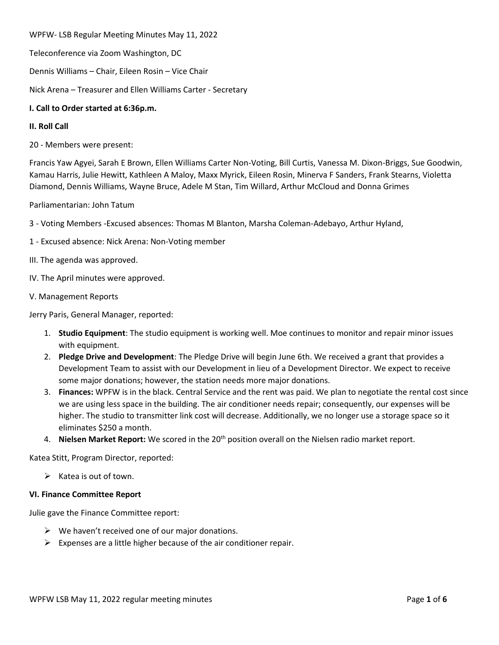WPFW- LSB Regular Meeting Minutes May 11, 2022

Teleconference via Zoom Washington, DC

Dennis Williams – Chair, Eileen Rosin – Vice Chair

Nick Arena – Treasurer and Ellen Williams Carter - Secretary

# **I. Call to Order started at 6:36p.m.**

# **II. Roll Call**

20 - Members were present:

Francis Yaw Agyei, Sarah E Brown, Ellen Williams Carter Non-Voting, Bill Curtis, Vanessa M. Dixon-Briggs, Sue Goodwin, Kamau Harris, Julie Hewitt, Kathleen A Maloy, Maxx Myrick, Eileen Rosin, Minerva F Sanders, Frank Stearns, Violetta Diamond, Dennis Williams, Wayne Bruce, Adele M Stan, Tim Willard, Arthur McCloud and Donna Grimes

Parliamentarian: John Tatum

3 - Voting Members -Excused absences: Thomas M Blanton, Marsha Coleman-Adebayo, Arthur Hyland,

- 1 Excused absence: Nick Arena: Non-Voting member
- III. The agenda was approved.
- IV. The April minutes were approved.
- V. Management Reports

Jerry Paris, General Manager, reported:

- 1. **Studio Equipment**: The studio equipment is working well. Moe continues to monitor and repair minor issues with equipment.
- 2. **Pledge Drive and Development**: The Pledge Drive will begin June 6th. We received a grant that provides a Development Team to assist with our Development in lieu of a Development Director. We expect to receive some major donations; however, the station needs more major donations.
- 3. **Finances:** WPFW is in the black. Central Service and the rent was paid. We plan to negotiate the rental cost since we are using less space in the building. The air conditioner needs repair; consequently, our expenses will be higher. The studio to transmitter link cost will decrease. Additionally, we no longer use a storage space so it eliminates \$250 a month.
- 4. **Nielsen Market Report:** We scored in the 20<sup>th</sup> position overall on the Nielsen radio market report.

Katea Stitt, Program Director, reported:

 $\triangleright$  Katea is out of town.

### **VI. Finance Committee Report**

Julie gave the Finance Committee report:

- $\triangleright$  We haven't received one of our major donations.
- $\triangleright$  Expenses are a little higher because of the air conditioner repair.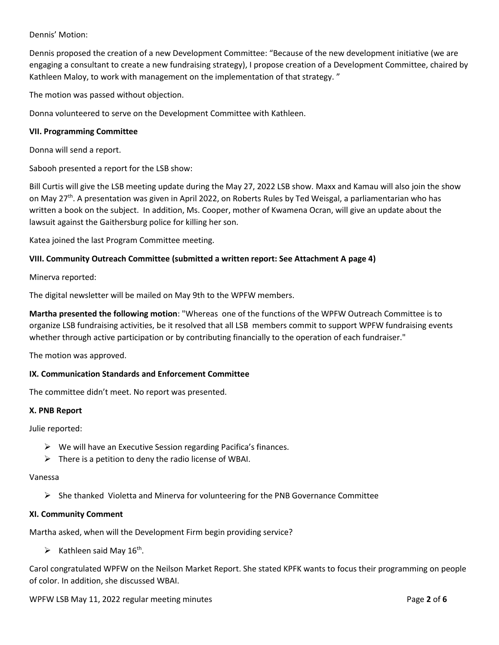# Dennis' Motion:

Dennis proposed the creation of a new Development Committee: "Because of the new development initiative (we are engaging a consultant to create a new fundraising strategy), I propose creation of a Development Committee, chaired by Kathleen Maloy, to work with management on the implementation of that strategy. "

The motion was passed without objection.

Donna volunteered to serve on the Development Committee with Kathleen.

## **VII. Programming Committee**

Donna will send a report.

Sabooh presented a report for the LSB show:

Bill Curtis will give the LSB meeting update during the May 27, 2022 LSB show. Maxx and Kamau will also join the show on May 27<sup>th</sup>. A presentation was given in April 2022, on Roberts Rules by Ted Weisgal, a parliamentarian who has written a book on the subject. In addition, Ms. Cooper, mother of Kwamena Ocran, will give an update about the lawsuit against the Gaithersburg police for killing her son.

Katea joined the last Program Committee meeting.

## **VIII. Community Outreach Committee (submitted a written report: See Attachment A page 4)**

Minerva reported:

The digital newsletter will be mailed on May 9th to the WPFW members.

**Martha presented the following motion**: "Whereas one of the functions of the WPFW Outreach Committee is to organize LSB fundraising activities, be it resolved that all LSB members commit to support WPFW fundraising events whether through active participation or by contributing financially to the operation of each fundraiser."

The motion was approved.

### **IX. Communication Standards and Enforcement Committee**

The committee didn't meet. No report was presented.

### **X. PNB Report**

Julie reported:

- $\triangleright$  We will have an Executive Session regarding Pacifica's finances.
- $\triangleright$  There is a petition to deny the radio license of WBAI.

#### Vanessa

 $\triangleright$  She thanked Violetta and Minerva for volunteering for the PNB Governance Committee

### **XI. Community Comment**

Martha asked, when will the Development Firm begin providing service?

 $\triangleright$  Kathleen said May 16<sup>th</sup>.

Carol congratulated WPFW on the Neilson Market Report. She stated KPFK wants to focus their programming on people of color. In addition, she discussed WBAI.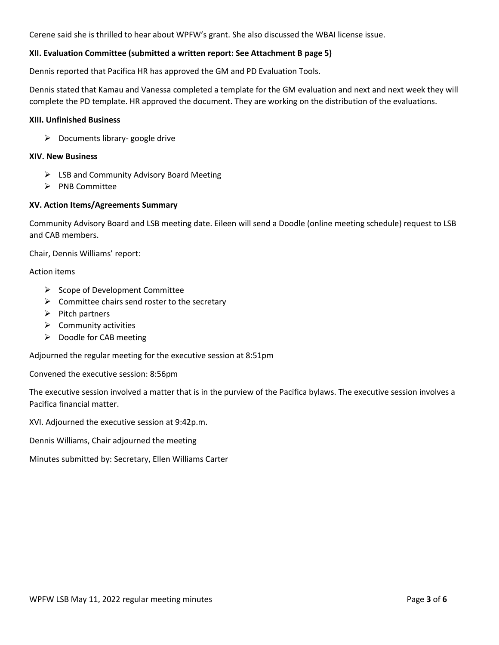Cerene said she is thrilled to hear about WPFW's grant. She also discussed the WBAI license issue.

# **XII. Evaluation Committee (submitted a written report: See Attachment B page 5)**

Dennis reported that Pacifica HR has approved the GM and PD Evaluation Tools.

Dennis stated that Kamau and Vanessa completed a template for the GM evaluation and next and next week they will complete the PD template. HR approved the document. They are working on the distribution of the evaluations.

#### **XIII. Unfinished Business**

 $\triangleright$  Documents library- google drive

#### **XIV. New Business**

- $\triangleright$  LSB and Community Advisory Board Meeting
- $\triangleright$  PNB Committee

### **XV. Action Items/Agreements Summary**

Community Advisory Board and LSB meeting date. Eileen will send a Doodle (online meeting schedule) request to LSB and CAB members.

Chair, Dennis Williams' report:

Action items

- $\triangleright$  Scope of Development Committee
- $\triangleright$  Committee chairs send roster to the secretary
- $\triangleright$  Pitch partners
- $\triangleright$  Community activities
- $\triangleright$  Doodle for CAB meeting

Adjourned the regular meeting for the executive session at 8:51pm

Convened the executive session: 8:56pm

The executive session involved a matter that is in the purview of the Pacifica bylaws. The executive session involves a Pacifica financial matter.

XVI. Adjourned the executive session at 9:42p.m.

Dennis Williams, Chair adjourned the meeting

Minutes submitted by: Secretary, Ellen Williams Carter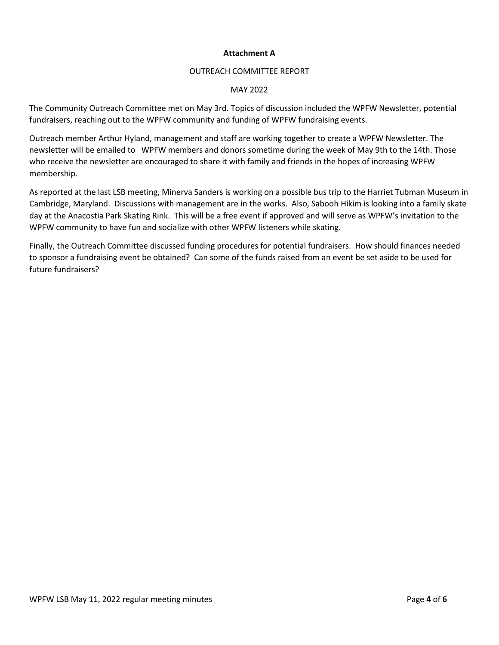## **Attachment A**

# OUTREACH COMMITTEE REPORT

## MAY 2022

The Community Outreach Committee met on May 3rd. Topics of discussion included the WPFW Newsletter, potential fundraisers, reaching out to the WPFW community and funding of WPFW fundraising events.

Outreach member Arthur Hyland, management and staff are working together to create a WPFW Newsletter. The newsletter will be emailed to WPFW members and donors sometime during the week of May 9th to the 14th. Those who receive the newsletter are encouraged to share it with family and friends in the hopes of increasing WPFW membership.

As reported at the last LSB meeting, Minerva Sanders is working on a possible bus trip to the Harriet Tubman Museum in Cambridge, Maryland. Discussions with management are in the works. Also, Sabooh Hikim is looking into a family skate day at the Anacostia Park Skating Rink. This will be a free event if approved and will serve as WPFW's invitation to the WPFW community to have fun and socialize with other WPFW listeners while skating.

Finally, the Outreach Committee discussed funding procedures for potential fundraisers. How should finances needed to sponsor a fundraising event be obtained? Can some of the funds raised from an event be set aside to be used for future fundraisers?